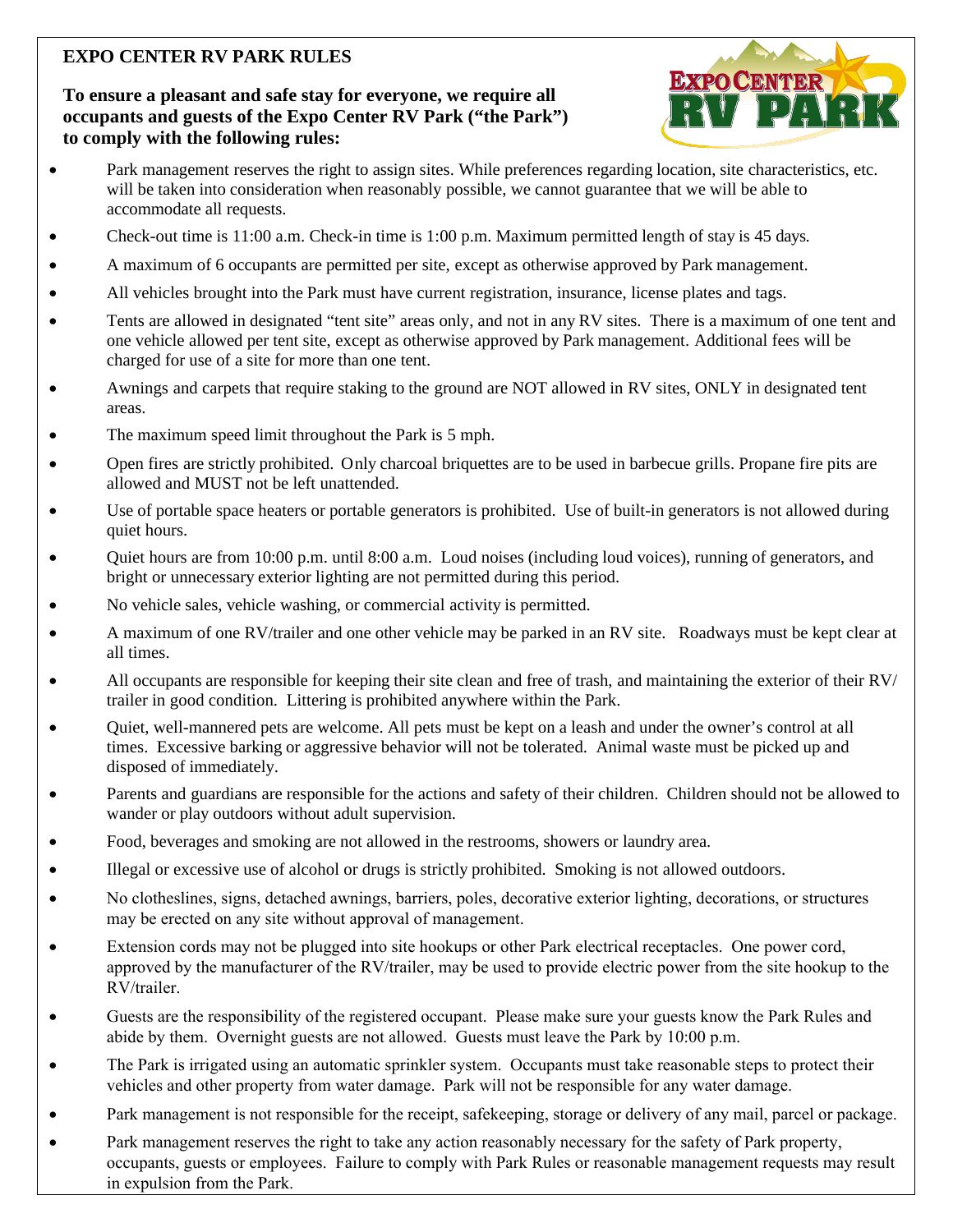# **EXPO CENTER RV PARK RULES**

## **To ensure a pleasant and safe stay for everyone, we require all occupants and guests of the Expo Center RV Park ("the Park") to comply with the following rules:**



- Park management reserves the right to assign sites. While preferences regarding location, site characteristics, etc. will be taken into consideration when reasonably possible, we cannot guarantee that we will be able to accommodate all requests.
- Check-out time is 11:00 a.m. Check-in time is 1:00 p.m. Maximum permitted length of stay is 45 days.
- A maximum of 6 occupants are permitted per site, except as otherwise approved by Park management.
- All vehicles brought into the Park must have current registration, insurance, license plates and tags.
- Tents are allowed in designated "tent site" areas only, and not in any RV sites. There is a maximum of one tent and one vehicle allowed per tent site, except as otherwise approved by Park management. Additional fees will be charged for use of a site for more than one tent.
- Awnings and carpets that require staking to the ground are NOT allowed in RV sites, ONLY in designated tent areas.
- The maximum speed limit throughout the Park is 5 mph.
- Open fires are strictly prohibited. Only charcoal briquettes are to be used in barbecue grills. Propane fire pits are allowed and MUST not be left unattended.
- Use of portable space heaters or portable generators is prohibited. Use of built-in generators is not allowed during quiet hours.
- Quiet hours are from 10:00 p.m. until 8:00 a.m. Loud noises (including loud voices), running of generators, and bright or unnecessary exterior lighting are not permitted during this period.
- No vehicle sales, vehicle washing, or commercial activity is permitted.
- A maximum of one RV/trailer and one other vehicle may be parked in an RV site. Roadways must be kept clear at all times.
- All occupants are responsible for keeping their site clean and free of trash, and maintaining the exterior of their RV/ trailer in good condition. Littering is prohibited anywhere within the Park.
- Quiet, well-mannered pets are welcome. All pets must be kept on a leash and under the owner's control at all times. Excessive barking or aggressive behavior will not be tolerated. Animal waste must be picked up and disposed of immediately.
- Parents and guardians are responsible for the actions and safety of their children. Children should not be allowed to wander or play outdoors without adult supervision.
- Food, beverages and smoking are not allowed in the restrooms, showers or laundry area.
- Illegal or excessive use of alcohol or drugs is strictly prohibited. Smoking is not allowed outdoors.
- No clotheslines, signs, detached awnings, barriers, poles, decorative exterior lighting, decorations, or structures may be erected on any site without approval of management.
- Extension cords may not be plugged into site hookups or other Park electrical receptacles. One power cord, approved by the manufacturer of the RV/trailer, may be used to provide electric power from the site hookup to the RV/trailer.
- Guests are the responsibility of the registered occupant. Please make sure your guests know the Park Rules and abide by them. Overnight guests are not allowed. Guests must leave the Park by 10:00 p.m.
- The Park is irrigated using an automatic sprinkler system. Occupants must take reasonable steps to protect their vehicles and other property from water damage. Park will not be responsible for any water damage.
- Park management is not responsible for the receipt, safekeeping, storage or delivery of any mail, parcel or package.
- Park management reserves the right to take any action reasonably necessary for the safety of Park property, occupants, guests or employees. Failure to comply with Park Rules or reasonable management requests may result in expulsion from the Park.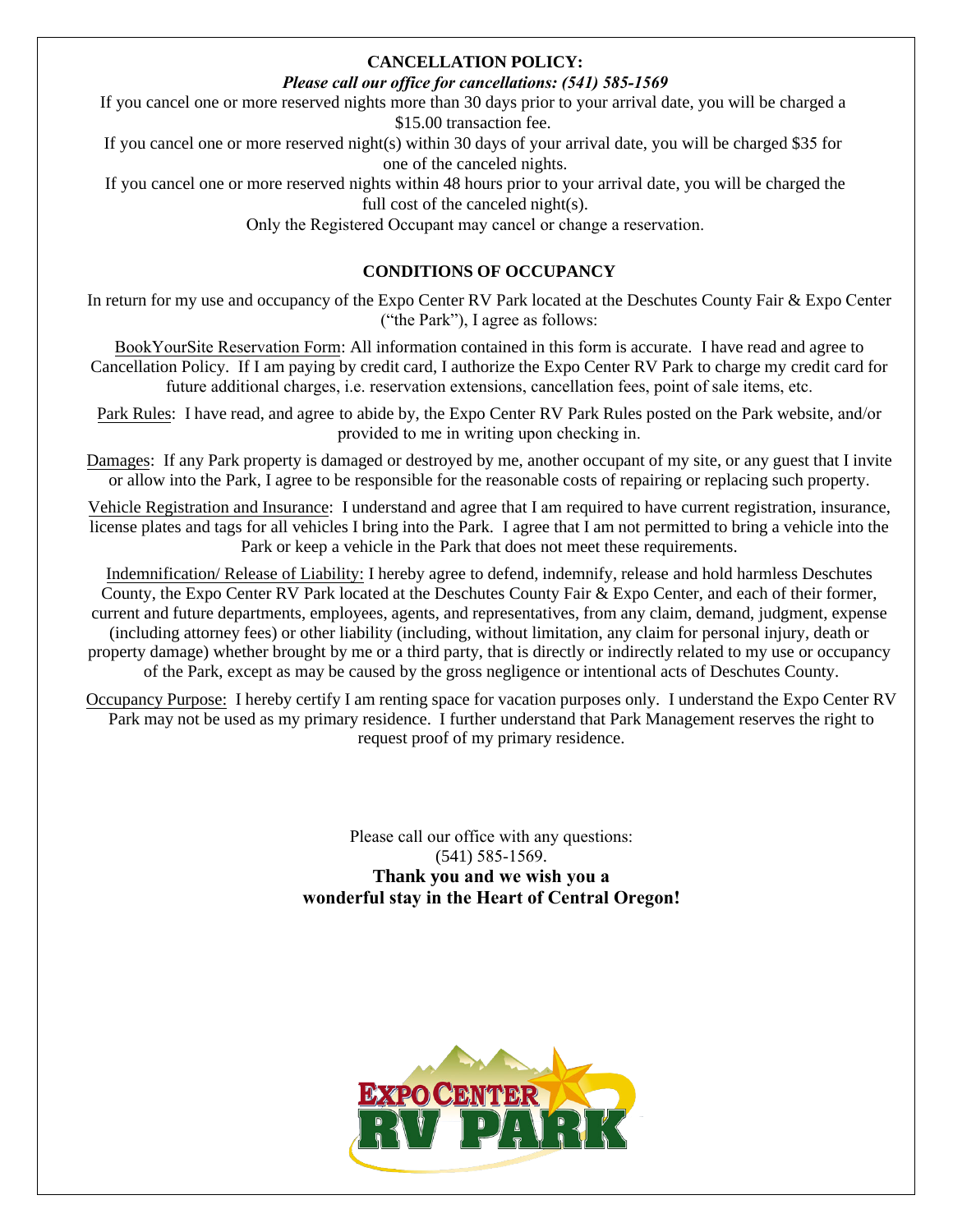#### **CANCELLATION POLICY:**

### *Please call our office for cancellations: (541) 585-1569*

If you cancel one or more reserved nights more than 30 days prior to your arrival date, you will be charged a \$15.00 transaction fee.

If you cancel one or more reserved night(s) within 30 days of your arrival date, you will be charged \$35 for one of the canceled nights.

If you cancel one or more reserved nights within 48 hours prior to your arrival date, you will be charged the full cost of the canceled night(s).

Only the Registered Occupant may cancel or change a reservation.

## **CONDITIONS OF OCCUPANCY**

In return for my use and occupancy of the Expo Center RV Park located at the Deschutes County Fair & Expo Center ("the Park"), I agree as follows:

BookYourSite Reservation Form: All information contained in this form is accurate. I have read and agree to Cancellation Policy. If I am paying by credit card, I authorize the Expo Center RV Park to charge my credit card for future additional charges, i.e. reservation extensions, cancellation fees, point of sale items, etc.

Park Rules: I have read, and agree to abide by, the Expo Center RV Park Rules posted on the Park website, and/or provided to me in writing upon checking in.

Damages: If any Park property is damaged or destroyed by me, another occupant of my site, or any guest that I invite or allow into the Park, I agree to be responsible for the reasonable costs of repairing or replacing such property.

Vehicle Registration and Insurance: I understand and agree that I am required to have current registration, insurance, license plates and tags for all vehicles I bring into the Park. I agree that I am not permitted to bring a vehicle into the Park or keep a vehicle in the Park that does not meet these requirements.

Indemnification/ Release of Liability: I hereby agree to defend, indemnify, release and hold harmless Deschutes County, the Expo Center RV Park located at the Deschutes County Fair & Expo Center, and each of their former, current and future departments, employees, agents, and representatives, from any claim, demand, judgment, expense (including attorney fees) or other liability (including, without limitation, any claim for personal injury, death or property damage) whether brought by me or a third party, that is directly or indirectly related to my use or occupancy of the Park, except as may be caused by the gross negligence or intentional acts of Deschutes County.

Occupancy Purpose: I hereby certify I am renting space for vacation purposes only. I understand the Expo Center RV Park may not be used as my primary residence. I further understand that Park Management reserves the right to request proof of my primary residence.

> Please call our office with any questions: (541) 585-1569. **Thank you and we wish you a wonderful stay in the Heart of Central Oregon!**